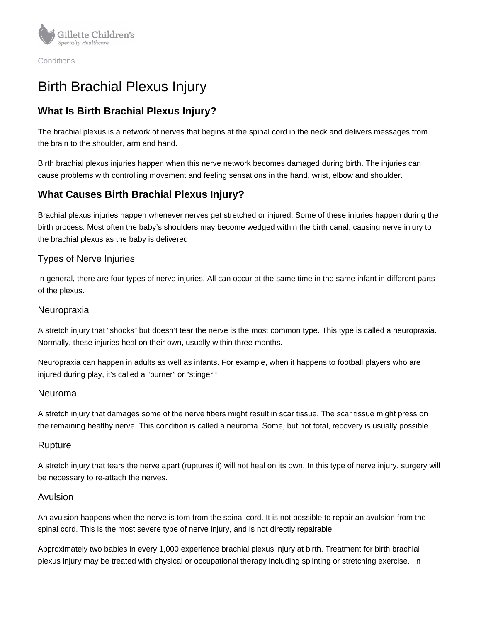

**Conditions** 

# Birth Brachial Plexus Injury

# **What Is Birth Brachial Plexus Injury?**

The brachial plexus is a network of nerves that begins at the spinal cord in the neck and delivers messages from the brain to the shoulder, arm and hand.

Birth brachial plexus injuries happen when this nerve network becomes damaged during birth. The injuries can cause problems with controlling movement and feeling sensations in the hand, wrist, elbow and shoulder.

# **What Causes Birth Brachial Plexus Injury?**

Brachial plexus injuries happen whenever nerves get stretched or injured. Some of these injuries happen during the birth process. Most often the baby's shoulders may become wedged within the birth canal, causing nerve injury to the brachial plexus as the baby is delivered.

### Types of Nerve Injuries

In general, there are four types of nerve injuries. All can occur at the same time in the same infant in different parts of the plexus.

#### Neuropraxia

A stretch injury that "shocks" but doesn't tear the nerve is the most common type. This type is called a neuropraxia. Normally, these injuries heal on their own, usually within three months.

Neuropraxia can happen in adults as well as infants. For example, when it happens to football players who are injured during play, it's called a "burner" or "stinger."

#### Neuroma

A stretch injury that damages some of the nerve fibers might result in scar tissue. The scar tissue might press on the remaining healthy nerve. This condition is called a neuroma. Some, but not total, recovery is usually possible.

#### Rupture

A stretch injury that tears the nerve apart (ruptures it) will not heal on its own. In this type of nerve injury, surgery will be necessary to re-attach the nerves.

#### Avulsion

An avulsion happens when the nerve is torn from the spinal cord. It is not possible to repair an avulsion from the spinal cord. This is the most severe type of nerve injury, and is not directly repairable.

Approximately two babies in every 1,000 experience brachial plexus injury at birth. Treatment for birth brachial plexus injury may be treated with physical or occupational therapy including splinting or stretching exercise. In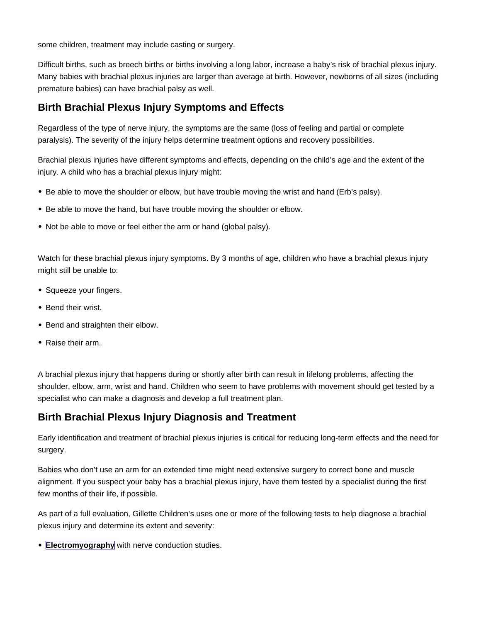some children, treatment may include casting or surgery.

Difficult births, such as breech births or births involving a long labor, increase a baby's risk of brachial plexus injury. Many babies with brachial plexus injuries are larger than average at birth. However, newborns of all sizes (including premature babies) can have brachial palsy as well.

## Birth Brachial Plexus Injury Symptoms and Effects

Regardless of the type of nerve injury, the symptoms are the same (loss of feeling and partial or complete paralysis). The severity of the injury helps determine treatment options and recovery possibilities.

Brachial plexus injuries have different symptoms and effects, depending on the child's age and the extent of the injury. A child who has a brachial plexus injury might:

- Be able to move the shoulder or elbow, but have trouble moving the wrist and hand (Erb's palsy).
- Be able to move the hand, but have trouble moving the shoulder or elbow.
- Not be able to move or feel either the arm or hand (global palsy).

Watch for these brachial plexus injury symptoms. By 3 months of age, children who have a brachial plexus injury might still be unable to:

- Squeeze your fingers.
- Bend their wrist.
- Bend and straighten their elbow.
- Raise their arm.

A brachial plexus injury that happens during or shortly after birth can result in lifelong problems, affecting the shoulder, elbow, arm, wrist and hand. Children who seem to have problems with movement should get tested by a specialist who can make a diagnosis and develop a full treatment plan.

# Birth Brachial Plexus Injury Diagnosis and Treatment

Early identification and treatment of brachial plexus injuries is critical for reducing long-term effects and the need for surgery.

Babies who don't use an arm for an extended time might need extensive surgery to correct bone and muscle alignment. If you suspect your baby has a brachial plexus injury, have them tested by a specialist during the first few months of their life, if possible.

As part of a full evaluation, Gillette Children's uses one or more of the following tests to help diagnose a brachial plexus injury and determine its extent and severity:

• [Electromyography](https://www.gillettechildrens.org/conditions-care/electromyogram-emg-test) with nerve conduction studies.